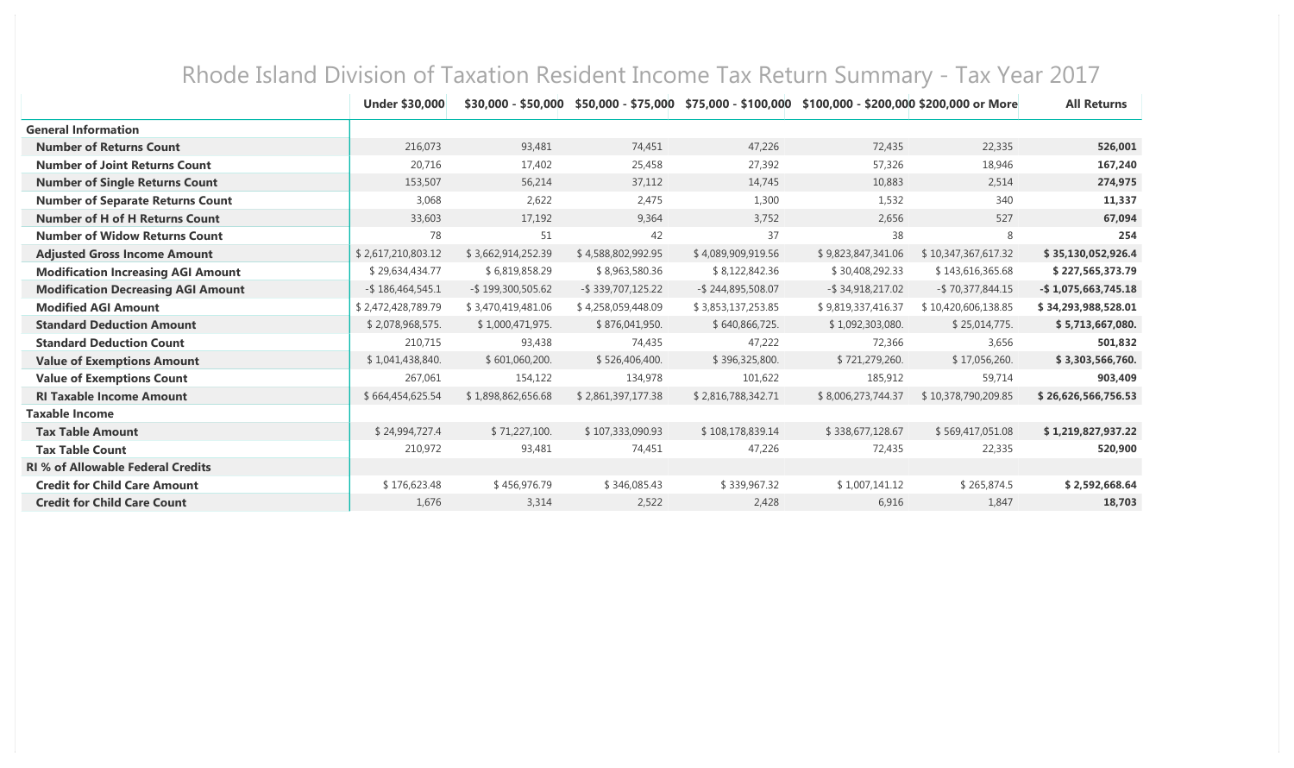|                                           | <b>Under \$30,000</b> | $$30,000 - $50,000$ |                    |                    | \$50,000 - \$75,000 \$75,000 - \$100,000 \$100,000 - \$200,000 \$200,000 or More |                     | <b>All Returns</b>     |
|-------------------------------------------|-----------------------|---------------------|--------------------|--------------------|----------------------------------------------------------------------------------|---------------------|------------------------|
| <b>General Information</b>                |                       |                     |                    |                    |                                                                                  |                     |                        |
| <b>Number of Returns Count</b>            | 216,073               | 93,481              | 74,451             | 47,226             | 72,435                                                                           | 22,335              | 526,001                |
| <b>Number of Joint Returns Count</b>      | 20,716                | 17,402              | 25,458             | 27,392             | 57,326                                                                           | 18,946              | 167,240                |
| <b>Number of Single Returns Count</b>     | 153,507               | 56,214              | 37,112             | 14,745             | 10,883                                                                           | 2,514               | 274,975                |
| <b>Number of Separate Returns Count</b>   | 3,068                 | 2,622               | 2,475              | 1,300              | 1,532                                                                            | 340                 | 11,337                 |
| <b>Number of H of H Returns Count</b>     | 33,603                | 17,192              | 9,364              | 3,752              | 2,656                                                                            | 527                 | 67,094                 |
| <b>Number of Widow Returns Count</b>      | 78                    | 51                  | 42                 | 37                 | 38                                                                               | 8                   | 254                    |
| <b>Adjusted Gross Income Amount</b>       | \$2,617,210,803.12    | \$3,662,914,252.39  | \$4,588,802,992.95 | \$4,089,909,919.56 | \$9,823,847,341.06                                                               | \$10,347,367,617.32 | \$35,130,052,926.4     |
| <b>Modification Increasing AGI Amount</b> | \$29,634,434.77       | \$6,819,858.29      | \$8,963,580.36     | \$8,122,842.36     | \$30,408,292.33                                                                  | \$143,616,365.68    | \$227,565,373.79       |
| <b>Modification Decreasing AGI Amount</b> | $-$ \$186,464,545.1   | -\$199,300,505.62   | -\$339,707,125.22  | -\$244,895,508.07  | $-$ \$ 34,918,217.02                                                             | -\$70,377,844.15    | $-$ \$1,075,663,745.18 |
| <b>Modified AGI Amount</b>                | \$2,472,428,789.79    | \$3,470,419,481.06  | \$4,258,059,448.09 | \$3,853,137,253.85 | \$9,819,337,416.37                                                               | \$10,420,606,138.85 | \$34,293,988,528.01    |
| <b>Standard Deduction Amount</b>          | \$2,078,968,575.      | \$1,000,471,975.    | \$876,041,950.     | \$640,866,725.     | \$1,092,303,080.                                                                 | \$25,014,775.       | \$5,713,667,080.       |
| <b>Standard Deduction Count</b>           | 210,715               | 93,438              | 74,435             | 47,222             | 72,366                                                                           | 3,656               | 501,832                |
| <b>Value of Exemptions Amount</b>         | \$1,041,438,840.      | \$601,060,200.      | \$526,406,400.     | \$396,325,800.     | \$721,279,260.                                                                   | \$17,056,260.       | \$3,303,566,760.       |
| <b>Value of Exemptions Count</b>          | 267,061               | 154,122             | 134,978            | 101,622            | 185,912                                                                          | 59,714              | 903,409                |
| <b>RI Taxable Income Amount</b>           | \$664,454,625.54      | \$1,898,862,656.68  | \$2,861,397,177.38 | \$2,816,788,342.71 | \$8,006,273,744.37                                                               | \$10,378,790,209.85 | \$26,626,566,756.53    |
| <b>Taxable Income</b>                     |                       |                     |                    |                    |                                                                                  |                     |                        |
| <b>Tax Table Amount</b>                   | \$24,994,727.4        | \$71,227,100.       | \$107,333,090.93   | \$108,178,839.14   | \$338,677,128.67                                                                 | \$569,417,051.08    | \$1,219,827,937.22     |
| <b>Tax Table Count</b>                    | 210,972               | 93,481              | 74,451             | 47,226             | 72,435                                                                           | 22,335              | 520,900                |
| <b>RI % of Allowable Federal Credits</b>  |                       |                     |                    |                    |                                                                                  |                     |                        |
| <b>Credit for Child Care Amount</b>       | \$176,623.48          | \$456,976.79        | \$346,085.43       | \$339,967.32       | \$1,007,141.12                                                                   | \$265,874.5         | \$2,592,668.64         |
| <b>Credit for Child Care Count</b>        | 1,676                 | 3,314               | 2,522              | 2,428              | 6,916                                                                            | 1,847               | 18,703                 |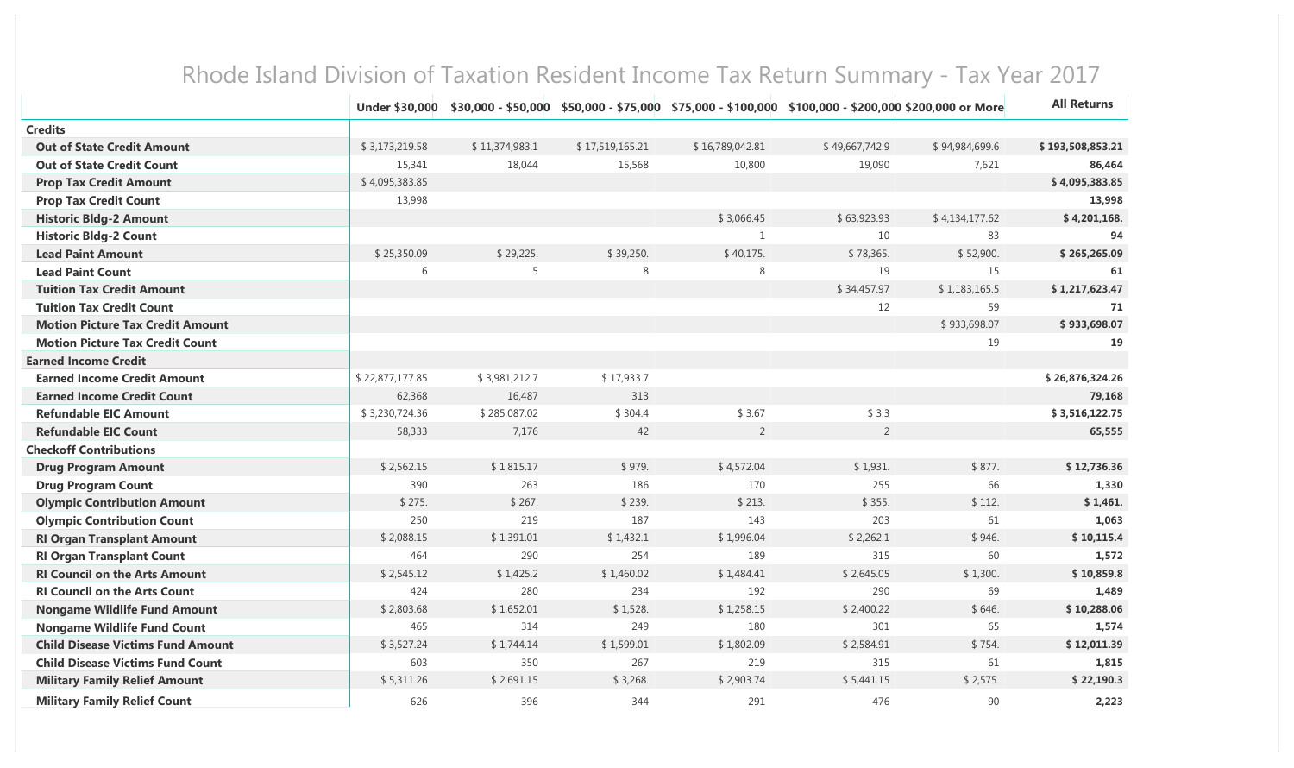|                                          | Under \$30,000  |                |                 |                 | \$30,000 - \$50,000 \$50,000 - \$75,000 \$75,000 - \$100,000 \$100,000 - \$200,000 \$200,000 or More |                | <b>All Returns</b> |
|------------------------------------------|-----------------|----------------|-----------------|-----------------|------------------------------------------------------------------------------------------------------|----------------|--------------------|
| <b>Credits</b>                           |                 |                |                 |                 |                                                                                                      |                |                    |
| <b>Out of State Credit Amount</b>        | \$3,173,219.58  | \$11,374,983.1 | \$17,519,165.21 | \$16,789,042.81 | \$49,667,742.9                                                                                       | \$94,984,699.6 | \$193,508,853.21   |
| <b>Out of State Credit Count</b>         | 15,341          | 18,044         | 15,568          | 10,800          | 19,090                                                                                               | 7,621          | 86,464             |
| <b>Prop Tax Credit Amount</b>            | \$4,095,383.85  |                |                 |                 |                                                                                                      |                | \$4,095,383.85     |
| <b>Prop Tax Credit Count</b>             | 13,998          |                |                 |                 |                                                                                                      |                | 13,998             |
| <b>Historic Bldg-2 Amount</b>            |                 |                |                 | \$3,066.45      | \$63,923.93                                                                                          | \$4,134,177.62 | \$4,201,168.       |
| <b>Historic Bldg-2 Count</b>             |                 |                |                 | $\mathbf{1}$    | 10                                                                                                   | 83             | 94                 |
| <b>Lead Paint Amount</b>                 | \$25,350.09     | \$29,225.      | \$39,250.       | \$40,175.       | \$78,365.                                                                                            | \$52,900.      | \$265,265.09       |
| <b>Lead Paint Count</b>                  | 6               | 5              | 8               | $\,8\,$         | 19                                                                                                   | 15             | 61                 |
| <b>Tuition Tax Credit Amount</b>         |                 |                |                 |                 | \$34,457.97                                                                                          | \$1,183,165.5  | \$1,217,623.47     |
| <b>Tuition Tax Credit Count</b>          |                 |                |                 |                 | 12                                                                                                   | 59             | 71                 |
| <b>Motion Picture Tax Credit Amount</b>  |                 |                |                 |                 |                                                                                                      | \$933,698.07   | \$933,698.07       |
| <b>Motion Picture Tax Credit Count</b>   |                 |                |                 |                 |                                                                                                      | 19             | 19                 |
| <b>Earned Income Credit</b>              |                 |                |                 |                 |                                                                                                      |                |                    |
| <b>Earned Income Credit Amount</b>       | \$22,877,177.85 | \$3,981,212.7  | \$17,933.7      |                 |                                                                                                      |                | \$26,876,324.26    |
| <b>Earned Income Credit Count</b>        | 62,368          | 16,487         | 313             |                 |                                                                                                      |                | 79,168             |
| <b>Refundable EIC Amount</b>             | \$3,230,724.36  | \$285,087.02   | \$304.4         | \$3.67          | \$3.3                                                                                                |                | \$3,516,122.75     |
| <b>Refundable EIC Count</b>              | 58,333          | 7,176          | 42              | $\overline{2}$  | $\overline{2}$                                                                                       |                | 65,555             |
| <b>Checkoff Contributions</b>            |                 |                |                 |                 |                                                                                                      |                |                    |
| <b>Drug Program Amount</b>               | \$2,562.15      | \$1,815.17     | \$979.          | \$4,572.04      | \$1,931.                                                                                             | \$877.         | \$12,736.36        |
| <b>Drug Program Count</b>                | 390             | 263            | 186             | 170             | 255                                                                                                  | 66             | 1,330              |
| <b>Olympic Contribution Amount</b>       | \$275.          | \$267.         | \$239.          | \$213.          | \$355.                                                                                               | \$112.         | \$1,461.           |
| <b>Olympic Contribution Count</b>        | 250             | 219            | 187             | 143             | 203                                                                                                  | 61             | 1,063              |
| <b>RI Organ Transplant Amount</b>        | \$2,088.15      | \$1,391.01     | \$1,432.1       | \$1,996.04      | \$2,262.1                                                                                            | \$946.         | \$10,115.4         |
| <b>RI Organ Transplant Count</b>         | 464             | 290            | 254             | 189             | 315                                                                                                  | 60             | 1,572              |
| <b>RI Council on the Arts Amount</b>     | \$2,545.12      | \$1,425.2      | \$1,460.02      | \$1,484.41      | \$2,645.05                                                                                           | \$1,300.       | \$10,859.8         |
| <b>RI Council on the Arts Count</b>      | 424             | 280            | 234             | 192             | 290                                                                                                  | 69             | 1,489              |
| <b>Nongame Wildlife Fund Amount</b>      | \$2,803.68      | \$1,652.01     | \$1,528.        | \$1,258.15      | \$2,400.22                                                                                           | \$646.         | \$10,288.06        |
| <b>Nongame Wildlife Fund Count</b>       | 465             | 314            | 249             | 180             | 301                                                                                                  | 65             | 1,574              |
| <b>Child Disease Victims Fund Amount</b> | \$3,527.24      | \$1,744.14     | \$1,599.01      | \$1,802.09      | \$2,584.91                                                                                           | \$754.         | \$12,011.39        |
| <b>Child Disease Victims Fund Count</b>  | 603             | 350            | 267             | 219             | 315                                                                                                  | 61             | 1,815              |
| <b>Military Family Relief Amount</b>     | \$5,311.26      | \$2,691.15     | \$3,268.        | \$2,903.74      | \$5,441.15                                                                                           | \$2,575.       | \$22,190.3         |
| <b>Military Family Relief Count</b>      | 626             | 396            | 344             | 291             | 476                                                                                                  | 90             | 2,223              |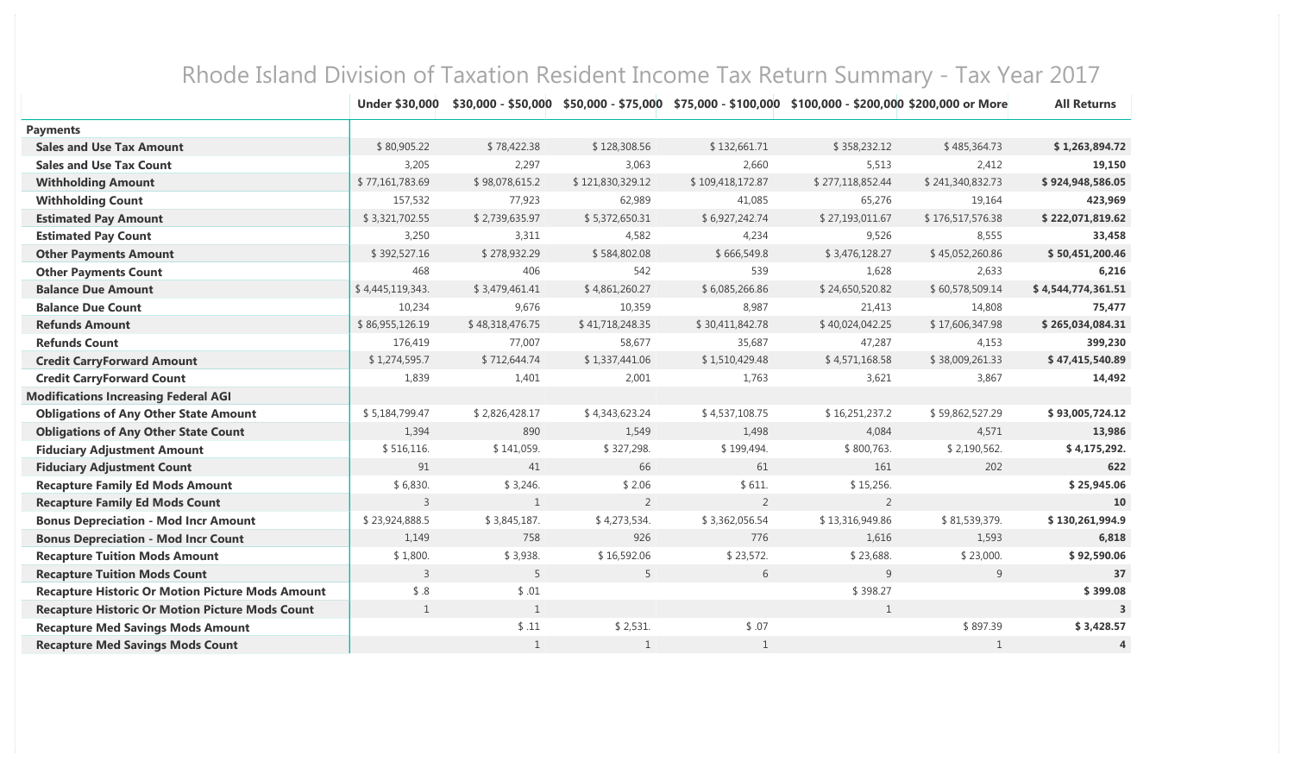|                                                         | <b>Under \$30,000</b> |                 |                  | \$30,000 - \$50,000 \$50,000 - \$75,000 \$75,000 - \$100,000 \$100,000 - \$200,000 \$200,000 or More |                  |                  | <b>All Returns</b> |
|---------------------------------------------------------|-----------------------|-----------------|------------------|------------------------------------------------------------------------------------------------------|------------------|------------------|--------------------|
| <b>Payments</b>                                         |                       |                 |                  |                                                                                                      |                  |                  |                    |
| <b>Sales and Use Tax Amount</b>                         | \$80,905.22           | \$78,422.38     | \$128,308.56     | \$132,661.71                                                                                         | \$358,232.12     | \$485,364.73     | \$1,263,894.72     |
| <b>Sales and Use Tax Count</b>                          | 3,205                 | 2,297           | 3,063            | 2,660                                                                                                | 5,513            | 2,412            | 19,150             |
| <b>Withholding Amount</b>                               | \$77,161,783.69       | \$98,078,615.2  | \$121,830,329.12 | \$109,418,172.87                                                                                     | \$277,118,852.44 | \$241,340,832.73 | \$924,948,586.05   |
| <b>Withholding Count</b>                                | 157,532               | 77,923          | 62,989           | 41,085                                                                                               | 65,276           | 19,164           | 423,969            |
| <b>Estimated Pay Amount</b>                             | \$3,321,702.55        | \$2,739,635.97  | \$5,372,650.31   | \$6,927,242.74                                                                                       | \$27,193,011.67  | \$176,517,576.38 | \$222,071,819.62   |
| <b>Estimated Pay Count</b>                              | 3,250                 | 3,311           | 4,582            | 4,234                                                                                                | 9,526            | 8,555            | 33,458             |
| <b>Other Payments Amount</b>                            | \$392,527.16          | \$278,932.29    | \$584,802.08     | \$666,549.8                                                                                          | \$3,476,128.27   | \$45,052,260.86  | \$50,451,200.46    |
| <b>Other Payments Count</b>                             | 468                   | 406             | 542              | 539                                                                                                  | 1,628            | 2,633            | 6,216              |
| <b>Balance Due Amount</b>                               | \$4,445,119,343.      | \$3,479,461.41  | \$4,861,260.27   | \$6,085,266.86                                                                                       | \$24,650,520.82  | \$60,578,509.14  | \$4,544,774,361.51 |
| <b>Balance Due Count</b>                                | 10,234                | 9,676           | 10,359           | 8,987                                                                                                | 21,413           | 14,808           | 75,477             |
| <b>Refunds Amount</b>                                   | \$86,955,126.19       | \$48,318,476.75 | \$41,718,248.35  | \$30,411,842.78                                                                                      | \$40,024,042.25  | \$17,606,347.98  | \$265,034,084.31   |
| <b>Refunds Count</b>                                    | 176,419               | 77,007          | 58,677           | 35,687                                                                                               | 47,287           | 4,153            | 399,230            |
| <b>Credit CarryForward Amount</b>                       | \$1,274,595.7         | \$712,644.74    | \$1,337,441.06   | \$1,510,429.48                                                                                       | \$4,571,168.58   | \$38,009,261.33  | \$47,415,540.89    |
| <b>Credit CarryForward Count</b>                        | 1,839                 | 1,401           | 2,001            | 1,763                                                                                                | 3,621            | 3,867            | 14,492             |
| <b>Modifications Increasing Federal AGI</b>             |                       |                 |                  |                                                                                                      |                  |                  |                    |
| <b>Obligations of Any Other State Amount</b>            | \$5,184,799.47        | \$2,826,428.17  | \$4,343,623.24   | \$4,537,108.75                                                                                       | \$16,251,237.2   | \$59,862,527.29  | \$93,005,724.12    |
| <b>Obligations of Any Other State Count</b>             | 1,394                 | 890             | 1,549            | 1,498                                                                                                | 4,084            | 4,571            | 13,986             |
| <b>Fiduciary Adjustment Amount</b>                      | \$516,116.            | \$141,059.      | \$327,298.       | \$199,494.                                                                                           | \$800,763.       | \$2,190,562.     | \$4,175,292.       |
| <b>Fiduciary Adjustment Count</b>                       | 91                    | 41              | 66               | 61                                                                                                   | 161              | 202              | 622                |
| <b>Recapture Family Ed Mods Amount</b>                  | \$6,830.              | \$3,246.        | \$2.06           | \$611.                                                                                               | \$15,256.        |                  | \$25,945.06        |
| <b>Recapture Family Ed Mods Count</b>                   | $\overline{3}$        | 1               | 2                | 2                                                                                                    | 2                |                  | 10                 |
| <b>Bonus Depreciation - Mod Incr Amount</b>             | \$23,924,888.5        | \$3,845,187.    | \$4,273,534.     | \$3,362,056.54                                                                                       | \$13,316,949.86  | \$81,539,379.    | \$130,261,994.9    |
| <b>Bonus Depreciation - Mod Incr Count</b>              | 1,149                 | 758             | 926              | 776                                                                                                  | 1,616            | 1,593            | 6,818              |
| <b>Recapture Tuition Mods Amount</b>                    | \$1,800.              | \$3,938.        | \$16,592.06      | \$23,572.                                                                                            | \$23,688.        | \$23,000.        | \$92,590.06        |
| <b>Recapture Tuition Mods Count</b>                     | 3                     | 5               | 5                | 6                                                                                                    | 9                | 9                | 37                 |
| <b>Recapture Historic Or Motion Picture Mods Amount</b> | \$.8                  | \$.01           |                  |                                                                                                      | \$398.27         |                  | \$399.08           |
| <b>Recapture Historic Or Motion Picture Mods Count</b>  | $\mathbf{1}$          | 1               |                  |                                                                                                      | 1                |                  |                    |
| <b>Recapture Med Savings Mods Amount</b>                |                       | \$.11           | \$2,531.         | \$.07                                                                                                |                  | \$897.39         | \$3,428.57         |
| <b>Recapture Med Savings Mods Count</b>                 |                       | 1               | 1                | $\mathbf{1}$                                                                                         |                  | 1                | 4                  |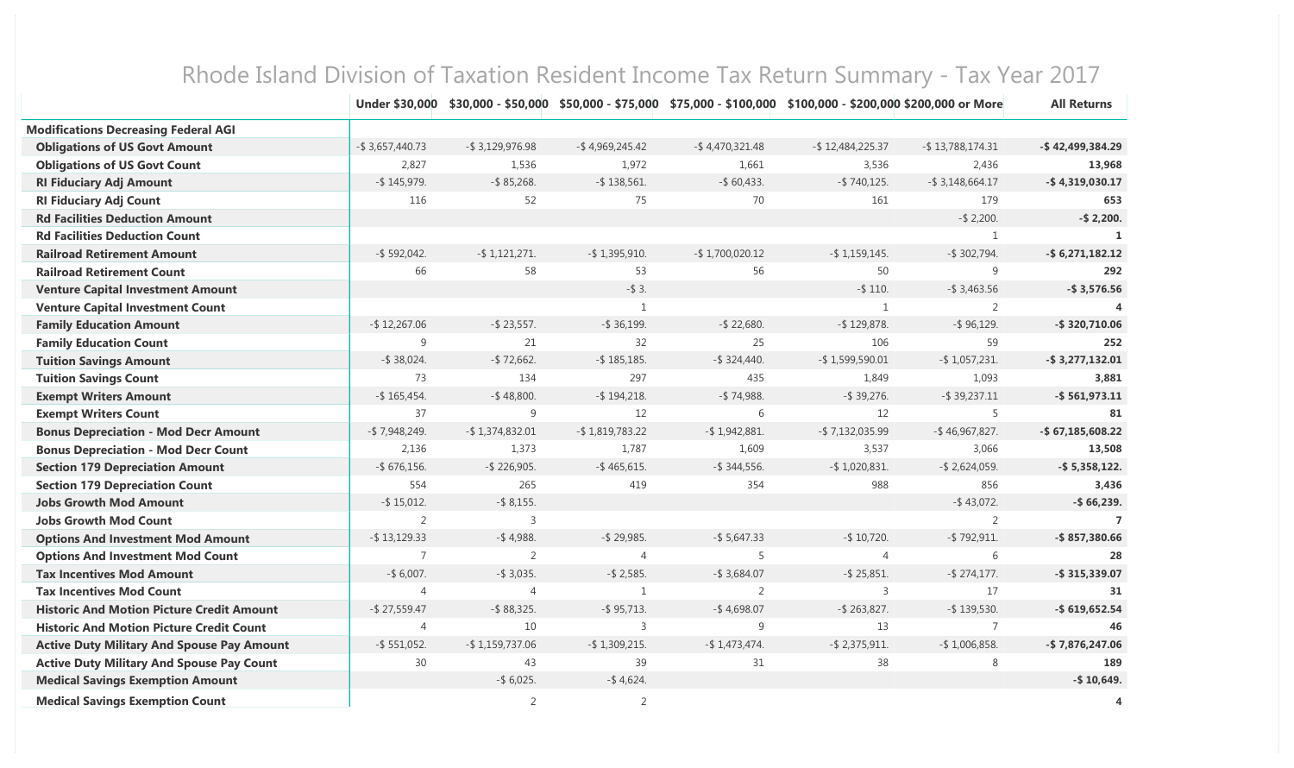|                                                   |                     |                     |                    |                    | Under \$30,000 \$30,000 - \$50,000 \$50,000 - \$75,000 \$75,000 - \$100,000 \$100,000 - \$200,000 \$200,000 or More |                     | <b>All Returns</b>    |
|---------------------------------------------------|---------------------|---------------------|--------------------|--------------------|---------------------------------------------------------------------------------------------------------------------|---------------------|-----------------------|
| <b>Modifications Decreasing Federal AGI</b>       |                     |                     |                    |                    |                                                                                                                     |                     |                       |
| <b>Obligations of US Govt Amount</b>              | $-$ \$ 3,657,440.73 | $-$ \$ 3,129,976.98 | $-$ \$4,969,245.42 | $-$ \$4,470,321.48 | $-$ \$12,484,225.37                                                                                                 | $-$ \$13,788,174.31 | -\$42,499,384.29      |
| <b>Obligations of US Govt Count</b>               | 2,827               | 1,536               | 1,972              | 1,661              | 3,536                                                                                                               | 2,436               | 13,968                |
| <b>RI Fiduciary Adj Amount</b>                    | $-$ \$145,979.      | $-$ \$85,268.       | $-$ \$138,561.     | $-$ \$ 60,433.     | $-$ \$740,125.                                                                                                      | $-$ \$ 3,148,664.17 | $-$ \$4,319,030.17    |
| <b>RI Fiduciary Adj Count</b>                     | 116                 | 52                  | 75                 | 70                 | 161                                                                                                                 | 179                 | 653                   |
| <b>Rd Facilities Deduction Amount</b>             |                     |                     |                    |                    |                                                                                                                     | $-$ \$ 2,200.       | $-$ \$ 2,200.         |
| <b>Rd Facilities Deduction Count</b>              |                     |                     |                    |                    |                                                                                                                     | $\mathbf{1}$        |                       |
| <b>Railroad Retirement Amount</b>                 | $-$ \$ 592,042.     | $-$ \$1,121,271.    | $-$ \$1,395,910.   | $-$ \$1,700,020.12 | $-$ \$1,159,145.                                                                                                    | $-$ \$ 302,794.     | $-$ \$6,271,182.12    |
| <b>Railroad Retirement Count</b>                  | 66                  | 58                  | 53                 | 56                 | 50                                                                                                                  | 9                   | 292                   |
| <b>Venture Capital Investment Amount</b>          |                     |                     | $-$ \$ 3.          |                    | $-$ \$ 110.                                                                                                         | $-$ \$ 3,463.56     | $-$ \$ 3,576.56       |
| <b>Venture Capital Investment Count</b>           |                     |                     | $\mathbf{1}$       |                    | $\mathbf{1}$                                                                                                        | $\overline{2}$      | $\boldsymbol{\Delta}$ |
| <b>Family Education Amount</b>                    | $-$ \$12,267.06     | $-$ \$ 23,557.      | $-$ \$ 36,199.     | $-$ \$ 22,680.     | $-$ \$129,878.                                                                                                      | $-$ \$ 96,129.      | $-$ \$320,710.06      |
| <b>Family Education Count</b>                     | 9                   | 21                  | 32                 | 25                 | 106                                                                                                                 | 59                  | 252                   |
| <b>Tuition Savings Amount</b>                     | $-$ \$ 38,024.      | $-$ \$72,662.       | $-$ \$185,185.     | $-$ \$ 324,440.    | $-$ \$1,599,590.01                                                                                                  | $-$ \$1,057,231.    | $-$ \$3,277,132.01    |
| <b>Tuition Savings Count</b>                      | 73                  | 134                 | 297                | 435                | 1,849                                                                                                               | 1,093               | 3,881                 |
| <b>Exempt Writers Amount</b>                      | $-$ \$165,454.      | $-$ \$48,800.       | $-$ \$194,218.     | $-$ \$ 74,988.     | $-$ \$ 39,276.                                                                                                      | $-$ \$ 39,237.11    | $-$ \$561,973.11      |
| <b>Exempt Writers Count</b>                       | 37                  | 9                   | 12                 | $6\,$              | 12                                                                                                                  | 5                   | 81                    |
| <b>Bonus Depreciation - Mod Decr Amount</b>       | $-$ \$7,948,249.    | $-$ \$1,374,832.01  | $-$ \$1,819,783.22 | $-$ \$1,942,881.   | $-$ \$7,132,035.99                                                                                                  | $-$ \$46,967,827.   | $-$ \$67,185,608.22   |
| <b>Bonus Depreciation - Mod Decr Count</b>        | 2,136               | 1,373               | 1,787              | 1,609              | 3,537                                                                                                               | 3,066               | 13,508                |
| <b>Section 179 Depreciation Amount</b>            | $-$ \$ 676,156.     | $-$ \$ 226,905.     | $-$ \$465,615.     | $-$ \$ 344,556.    | $-$ \$1,020,831.                                                                                                    | $-$ \$ 2,624,059.   | $-$ \$5,358,122.      |
| <b>Section 179 Depreciation Count</b>             | 554                 | 265                 | 419                | 354                | 988                                                                                                                 | 856                 | 3,436                 |
| <b>Jobs Growth Mod Amount</b>                     | $-$ \$15,012.       | $-$ \$ 8,155.       |                    |                    |                                                                                                                     | $-$ \$43,072.       | $-$ \$ 66,239.        |
| <b>Jobs Growth Mod Count</b>                      | 2                   | 3                   |                    |                    |                                                                                                                     | 2                   | $\overline{7}$        |
| <b>Options And Investment Mod Amount</b>          | $-$ \$13,129.33     | $-$ \$4,988.        | $-$ \$ 29,985.     | $-$ \$ 5,647.33    | $-$ \$ 10,720.                                                                                                      | $-$ \$792,911.      | $-$ \$857,380.66      |
| <b>Options And Investment Mod Count</b>           | $\overline{7}$      | 2                   | $\overline{4}$     | 5                  | 4                                                                                                                   | 6                   | 28                    |
| <b>Tax Incentives Mod Amount</b>                  | $-$ \$ 6,007.       | $-$ \$ 3,035.       | $-$ \$ 2,585.      | $-$ \$ 3,684.07    | $-$ \$ 25,851.                                                                                                      | $-$ \$ 274,177.     | $-$ \$315,339.07      |
| <b>Tax Incentives Mod Count</b>                   | $\overline{4}$      | $\overline{4}$      | $\mathbf{1}$       | 2                  | 3                                                                                                                   | 17                  | 31                    |
| <b>Historic And Motion Picture Credit Amount</b>  | $-$ \$ 27,559.47    | $-$ \$88,325.       | $-$ \$95,713.      | $-$ \$4,698.07     | $-$ \$ 263,827.                                                                                                     | $-$ \$139,530.      | $-$ \$619,652.54      |
| <b>Historic And Motion Picture Credit Count</b>   | $\overline{4}$      | 10                  | $\overline{3}$     | 9                  | 13                                                                                                                  | $\overline{7}$      | 46                    |
| <b>Active Duty Military And Spouse Pay Amount</b> | $-$ \$ 551,052.     | $-$ \$1,159,737.06  | $-$ \$1,309,215.   | $-$ \$1,473,474.   | $-$ \$ 2,375,911.                                                                                                   | $-$ \$1,006,858.    | $-$ \$7,876,247.06    |
| <b>Active Duty Military And Spouse Pay Count</b>  | 30                  | 43                  | 39                 | 31                 | 38                                                                                                                  | $\,8\,$             | 189                   |
| <b>Medical Savings Exemption Amount</b>           |                     | $-$ \$ 6,025.       | $-$ \$4,624.       |                    |                                                                                                                     |                     | $-$ \$10,649.         |
| <b>Medical Savings Exemption Count</b>            |                     | 2                   | $\overline{2}$     |                    |                                                                                                                     |                     | 4                     |